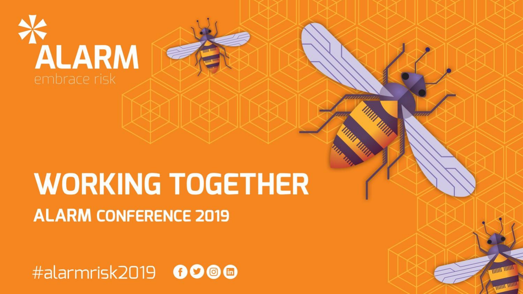

# **WORKING TOGETHER ALARM CONFERENCE 2019**

#alarmrisk2019 0000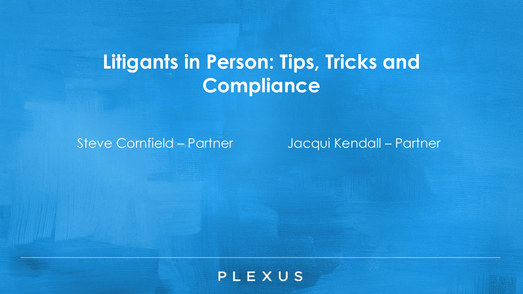# **Litigants in Person: Tips, Tricks and Compliance**

Steve Cornfield – Partner Jacqui Kendall – Partner

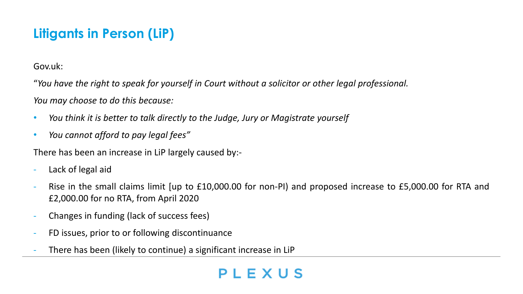# **Litigants in Person (LiP)**

Gov.uk:

"*You have the right to speak for yourself in Court without a solicitor or other legal professional.*

*You may choose to do this because:*

- *You think it is better to talk directly to the Judge, Jury or Magistrate yourself*
- *You cannot afford to pay legal fees"*

There has been an increase in LiP largely caused by:-

- Lack of legal aid
- Rise in the small claims limit [up to £10,000.00 for non-PI] and proposed increase to £5,000.00 for RTA and £2,000.00 for no RTA, from April 2020
- Changes in funding (lack of success fees)
- FD issues, prior to or following discontinuance
- There has been (likely to continue) a significant increase in LiP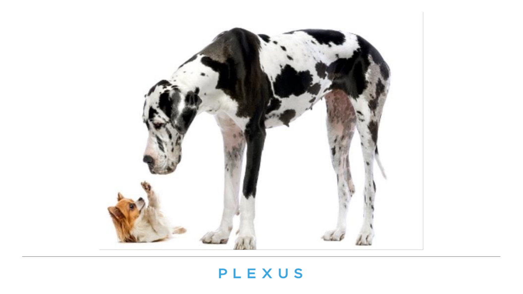# Jep  $4.6$  $10-$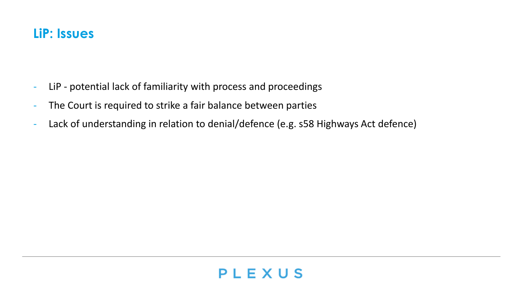#### **LiP: Issues**

- LiP potential lack of familiarity with process and proceedings
- The Court is required to strike a fair balance between parties
- Lack of understanding in relation to denial/defence (e.g. s58 Highways Act defence)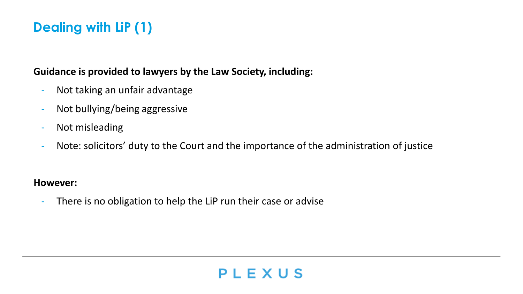#### **Dealing with LiP (1)**

#### **Guidance is provided to lawyers by the Law Society, including:**

- Not taking an unfair advantage
- Not bullying/being aggressive
- Not misleading
- Note: solicitors' duty to the Court and the importance of the administration of justice

#### **However:**

There is no obligation to help the LiP run their case or advise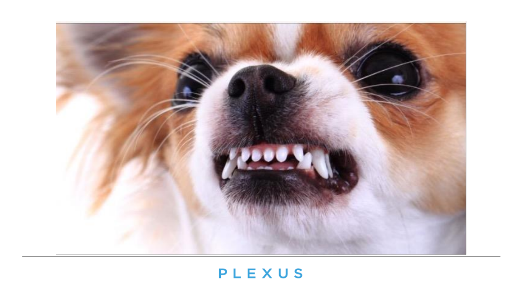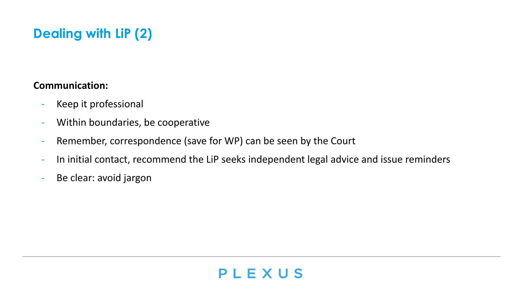# **Dealing with LiP (2)**

#### **Communication:**

- Keep it professional
- Within boundaries, be cooperative
- Remember, correspondence (save for WP) can be seen by the Court
- In initial contact, recommend the LiP seeks independent legal advice and issue reminders
- Be clear: avoid jargon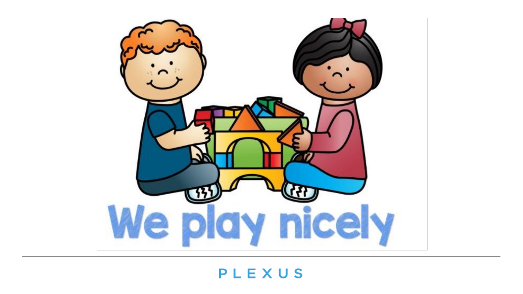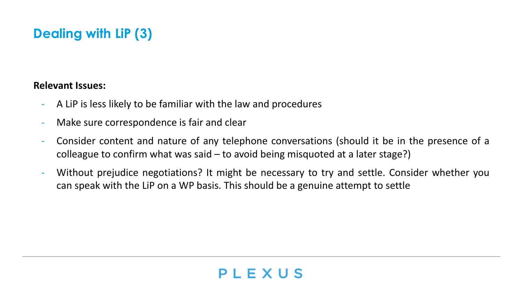# **Dealing with LiP (3)**

#### **Relevant Issues:**

- A LiP is less likely to be familiar with the law and procedures
- Make sure correspondence is fair and clear
- Consider content and nature of any telephone conversations (should it be in the presence of a colleague to confirm what was said – to avoid being misquoted at a later stage?)
- Without prejudice negotiations? It might be necessary to try and settle. Consider whether you can speak with the LiP on a WP basis. This should be a genuine attempt to settle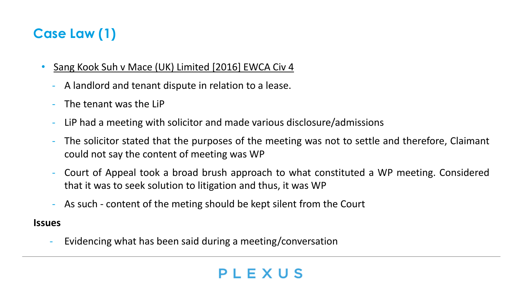## **Case Law (1)**

- Sang Kook Suh v Mace (UK) Limited [2016] EWCA Civ 4
	- A landlord and tenant dispute in relation to a lease.
	- The tenant was the LiP
	- LiP had a meeting with solicitor and made various disclosure/admissions
	- The solicitor stated that the purposes of the meeting was not to settle and therefore, Claimant could not say the content of meeting was WP
	- Court of Appeal took a broad brush approach to what constituted a WP meeting. Considered that it was to seek solution to litigation and thus, it was WP
	- As such content of the meting should be kept silent from the Court

#### **Issues**

- Evidencing what has been said during a meeting/conversation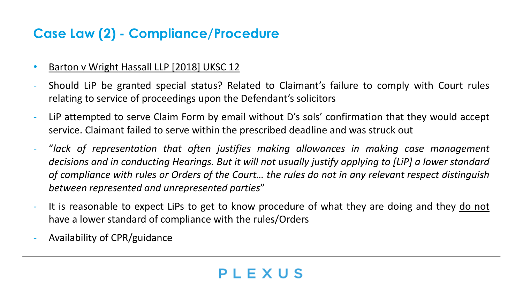#### **Case Law (2) - Compliance/Procedure**

- Barton v Wright Hassall LLP [2018] UKSC 12
- Should LiP be granted special status? Related to Claimant's failure to comply with Court rules relating to service of proceedings upon the Defendant's solicitors
- LiP attempted to serve Claim Form by email without D's sols' confirmation that they would accept service. Claimant failed to serve within the prescribed deadline and was struck out
- "*lack of representation that often justifies making allowances in making case management decisions and in conducting Hearings. But it will not usually justify applying to [LiP] a lower standard* of compliance with rules or Orders of the Court... the rules do not in any relevant respect distinguish *between represented and unrepresented parties*"
- It is reasonable to expect LiPs to get to know procedure of what they are doing and they do not have a lower standard of compliance with the rules/Orders
- Availability of CPR/guidance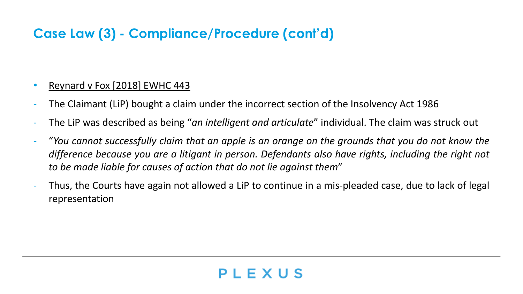#### **Case Law (3) - Compliance/Procedure (cont'd)**

#### **Reynard v Fox [2018] EWHC 443**

- The Claimant (LiP) bought a claim under the incorrect section of the Insolvency Act 1986
- The LiP was described as being "*an intelligent and articulate*" individual. The claim was struck out
- "You cannot successfully claim that an apple is an orange on the grounds that you do not know the *difference because you are a litigant in person. Defendants also have rights, including the right not to be made liable for causes of action that do not lie against them*"
- Thus, the Courts have again not allowed a LiP to continue in a mis-pleaded case, due to lack of legal representation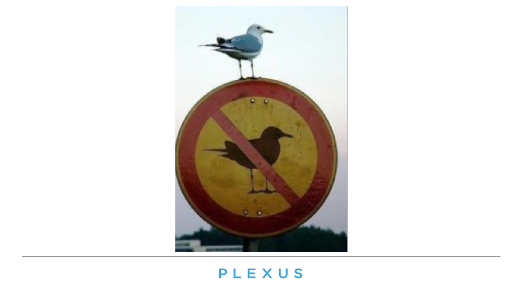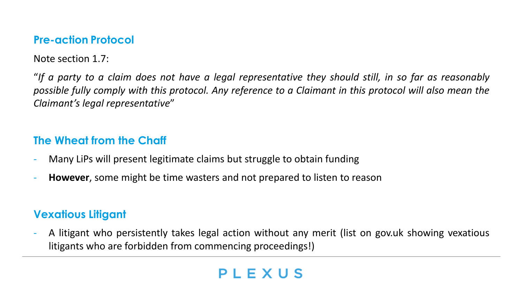#### **Pre-action Protocol**

Note section 1.7:

"If a party to a claim does not have a legal representative they should still, in so far as reasonably possible fully comply with this protocol. Any reference to a Claimant in this protocol will also mean the *Claimant's legal representative*"

#### **The Wheat from the Chaff**

- Many LiPs will present legitimate claims but struggle to obtain funding
- **However**, some might be time wasters and not prepared to listen to reason

#### **Vexatious Litigant**

- A litigant who persistently takes legal action without any merit (list on gov.uk showing vexatious litigants who are forbidden from commencing proceedings!)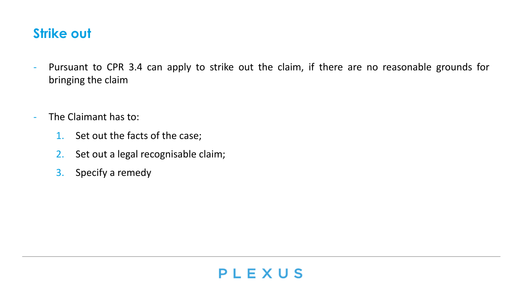#### **Strike out**

- Pursuant to CPR 3.4 can apply to strike out the claim, if there are no reasonable grounds for bringing the claim
- The Claimant has to:
	- 1. Set out the facts of the case;
	- 2. Set out a legal recognisable claim;
	- 3. Specify a remedy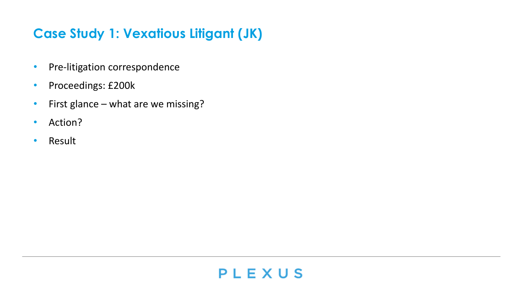#### **Case Study 1: Vexatious Litigant (JK)**

- Pre-litigation correspondence
- Proceedings: £200k
- First glance what are we missing?
- Action?
- Result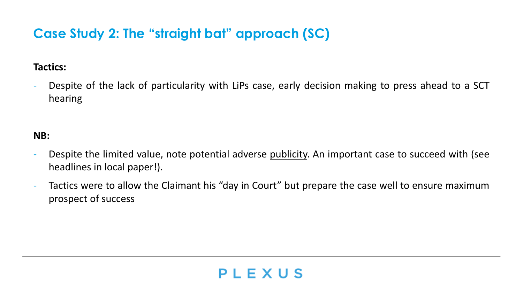#### **Case Study 2: The "straight bat" approach (SC)**

#### **Tactics:**

Despite of the lack of particularity with LiPs case, early decision making to press ahead to a SCT hearing

#### **NB:**

- Despite the limited value, note potential adverse <u>publicity</u>. An important case to succeed with (see headlines in local paper!).
- Tactics were to allow the Claimant his "day in Court" but prepare the case well to ensure maximum prospect of success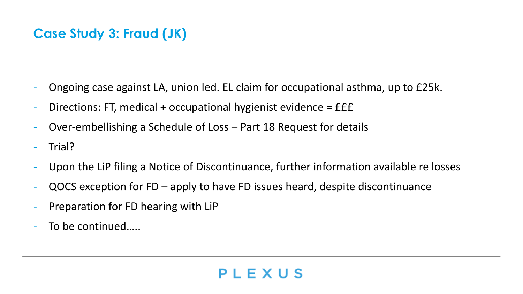#### **Case Study 3: Fraud (JK)**

- Ongoing case against LA, union led. EL claim for occupational asthma, up to £25k.
- Directions: FT, medical + occupational hygienist evidence =  $E\hat{E}$
- Over-embellishing a Schedule of Loss Part 18 Request for details
- Trial?
- Upon the LiP filing a Notice of Discontinuance, further information available re losses

- QOCS exception for FD apply to have FD issues heard, despite discontinuance
- Preparation for FD hearing with LiP
- To be continued…..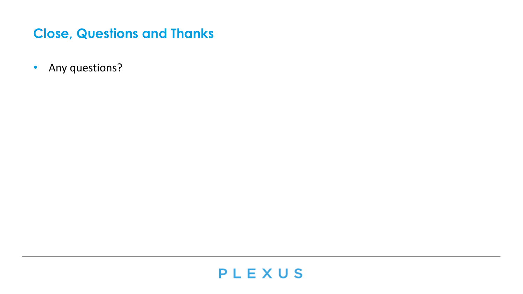#### **Close, Questions and Thanks**

• Any questions?